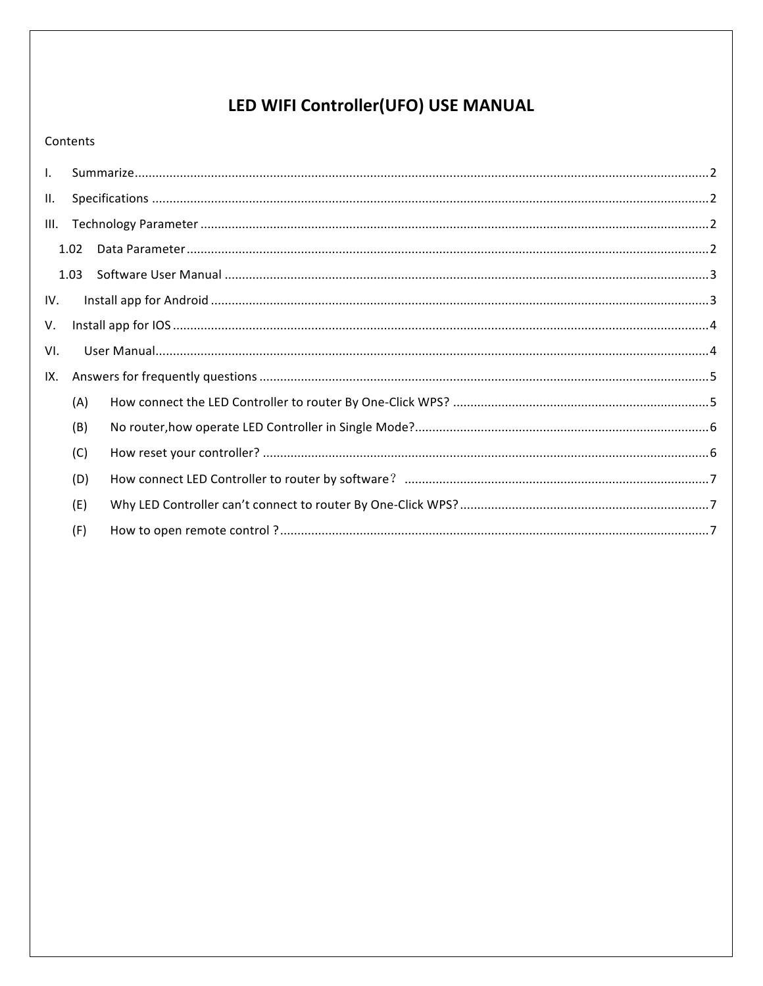# LED WIFI Controller(UFO) USE MANUAL

### Contents

| $\mathbf{L}$ |      |  |  |
|--------------|------|--|--|
| Ш.           |      |  |  |
| III.         |      |  |  |
|              | 1.02 |  |  |
|              | 1.03 |  |  |
| IV.          |      |  |  |
| V.           |      |  |  |
| VI.          |      |  |  |
| IX.          |      |  |  |
|              | (A)  |  |  |
|              | (B)  |  |  |
|              | (C)  |  |  |
|              |      |  |  |
|              | (D)  |  |  |
|              | (E)  |  |  |
|              | (F)  |  |  |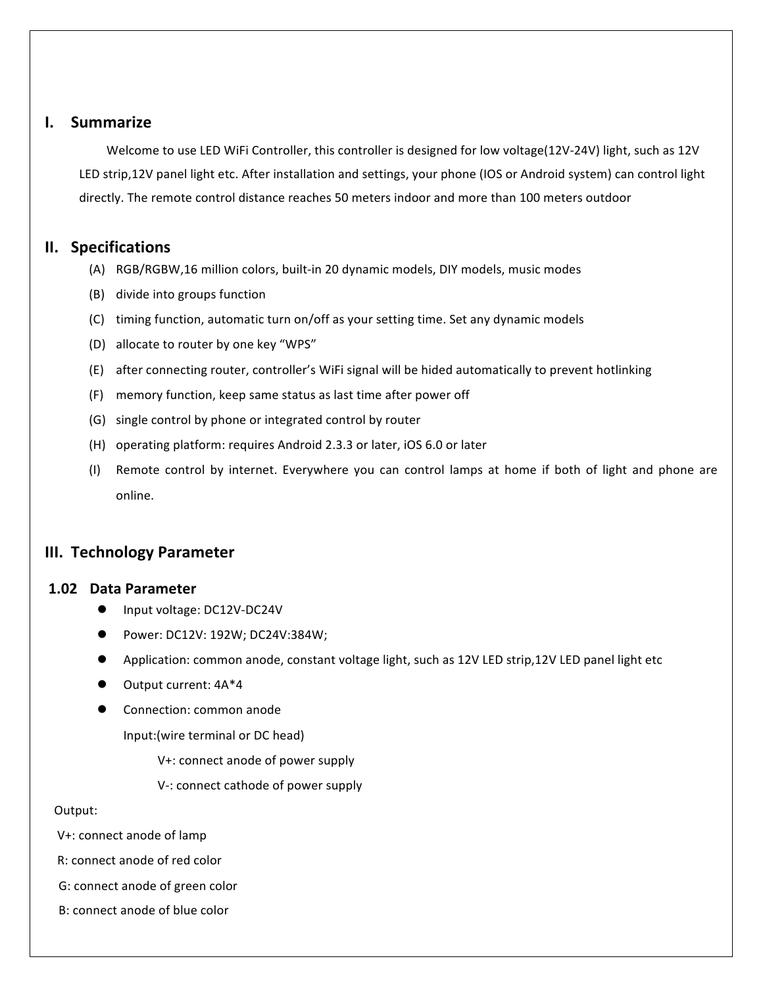## **I. Summarize**

Welcome to use LED WiFi Controller, this controller is designed for low voltage(12V-24V) light, such as 12V LED strip,12V panel light etc. After installation and settings, your phone (IOS or Android system) can control light directly. The remote control distance reaches 50 meters indoor and more than 100 meters outdoor

### **II. Specifications**

- (A) RGB/RGBW,16 million colors, built-in 20 dynamic models, DIY models, music modes
- (B) divide into groups function
- (C) timing function, automatic turn on/off as your setting time. Set any dynamic models
- (D) allocate to router by one key "WPS"
- (E) after connecting router, controller's WiFi signal will be hided automatically to prevent hotlinking
- (F) memory function, keep same status as last time after power off
- (G) single control by phone or integrated control by router
- (H) operating platform: requires Android 2.3.3 or later, iOS 6.0 or later
- (I) Remote control by internet. Everywhere you can control lamps at home if both of light and phone are online.

# **III. Technology Parameter**

### **1.02 Data Parameter**

- l Input voltage: DC12V-DC24V
- l Power: DC12V: 192W; DC24V:384W;
- Application: common anode, constant voltage light, such as 12V LED strip,12V LED panel light etc
- $\bullet$  Output current:  $4A^*4$
- **•** Connection: common anode

Input:(wire terminal or DC head)

V+: connect anode of power supply

V-: connect cathode of power supply

#### Output:

- V+: connect anode of lamp
- R: connect anode of red color
- G: connect anode of green color
- B: connect anode of blue color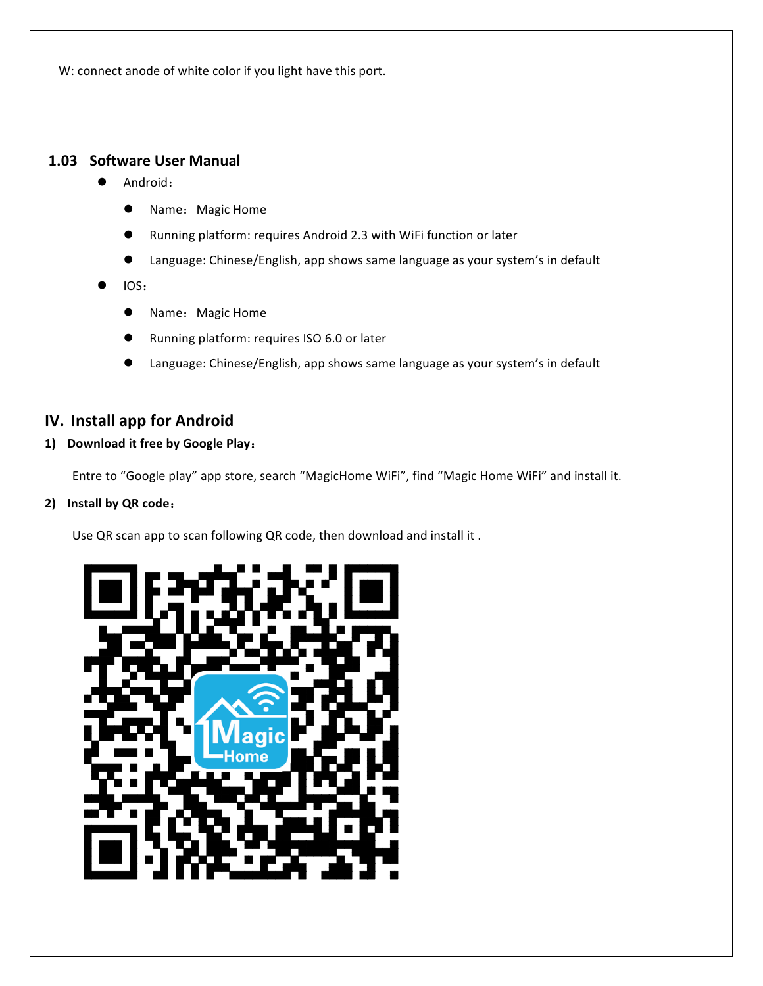W: connect anode of white color if you light have this port.

### **1.03 Software User Manual**

- Android:
	- **•** Name: Magic Home
	- Running platform: requires Android 2.3 with WiFi function or later
	- Language: Chinese/English, app shows same language as your system's in default
- l IOS:
	- **•** Name: Magic Home
	- Running platform: requires ISO 6.0 or later
	- Language: Chinese/English, app shows same language as your system's in default

# **IV. Install app for Android**

### 1) Download it free by Google Play:

Entre to "Google play" app store, search "MagicHome WiFi", find "Magic Home WiFi" and install it.

#### **2) Install by QR code**:

Use QR scan app to scan following QR code, then download and install it.

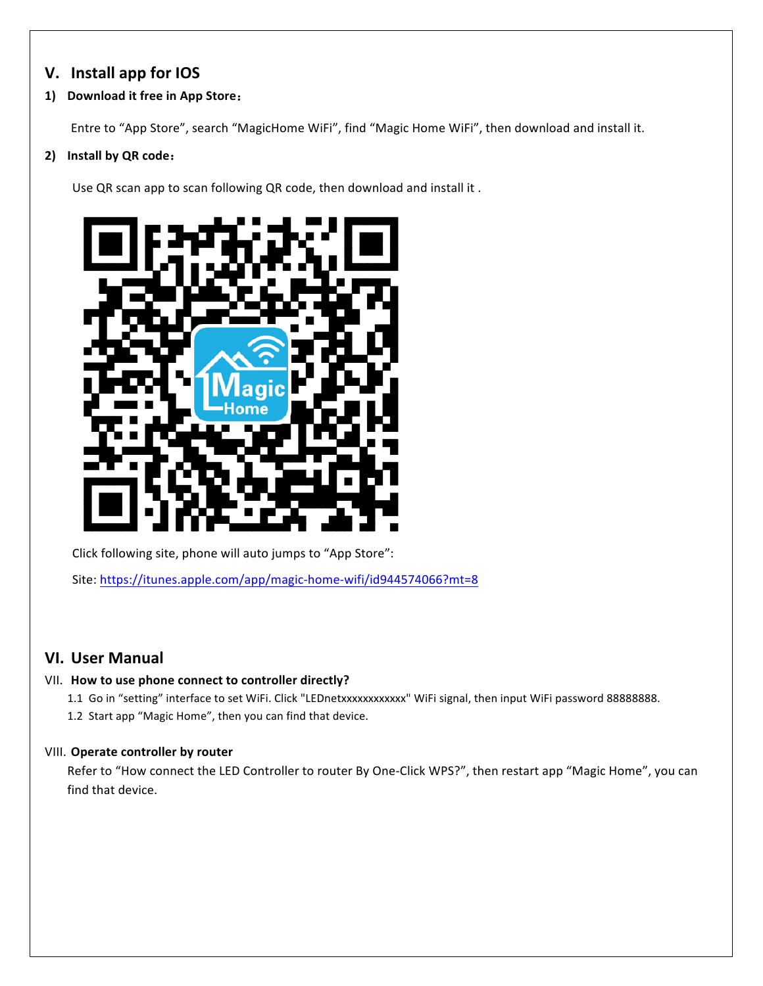# **V. Install app for IOS**

### **1) Download it free in App Store**:

Entre to "App Store", search "MagicHome WiFi", find "Magic Home WiFi", then download and install it.

### **2) Install by QR code**:

Use QR scan app to scan following QR code, then download and install it.



Click following site, phone will auto jumps to "App Store":

Site: https://itunes.apple.com/app/magic-home-wifi/id944574066?mt=8

# **VI. User Manual**

#### VII. How to use phone connect to controller directly?

1.1 Go in "setting" interface to set WiFi. Click "LEDnetxxxxxxxxxxxxx" WiFi signal, then input WiFi password 88888888. 1.2 Start app "Magic Home", then you can find that device.

#### **VIII.** Operate controller by router

Refer to "How connect the LED Controller to router By One-Click WPS?", then restart app "Magic Home", you can find that device.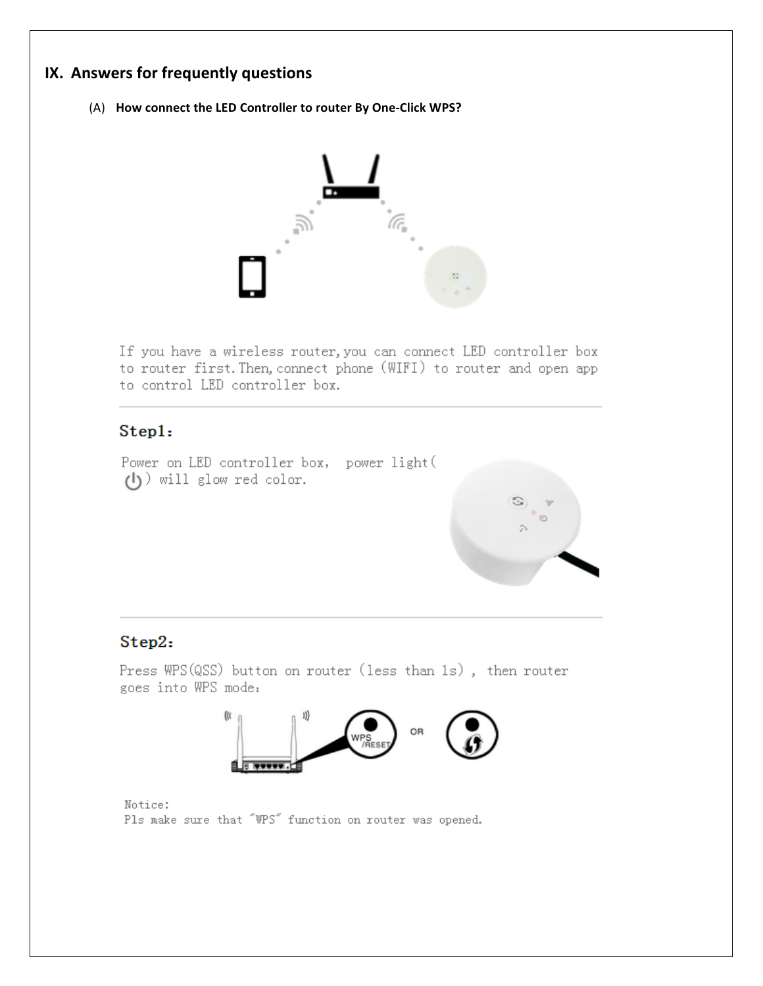# **IX.** Answers for frequently questions

(A) How connect the LED Controller to router By One-Click WPS?



If you have a wireless router, you can connect LED controller box to router first. Then, connect phone (WIFI) to router and open app to control LED controller box.

## Step1:

Power on LED controller box, power light (  $(1)$  will glow red color.



# Step2:

Press WPS(QSS) button on router (less than 1s), then router goes into WPS mode:



Notice: Pls make sure that "WPS" function on router was opened.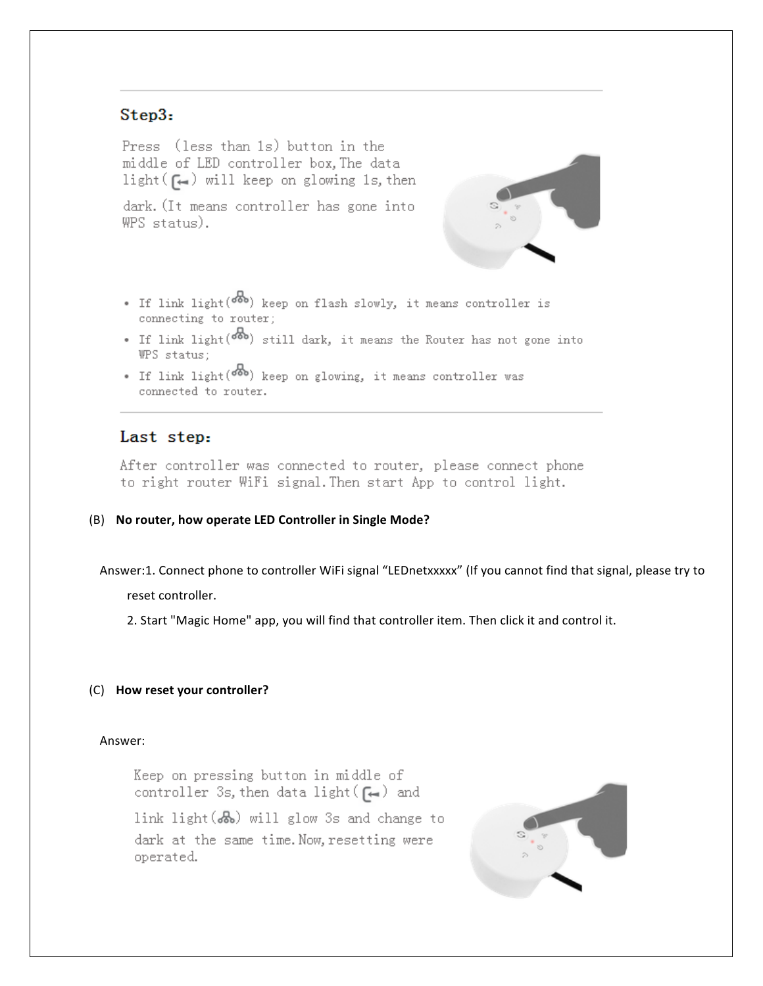# Step3:

Press (less than 1s) button in the middle of LED controller box, The data light  $(\epsilon)$  will keep on glowing 1s, then

dark. (It means controller has gone into WPS status).



- If link light(<sup>666</sup>) keep on flash slowly, it means controller is connecting to router;
- If link light( $\overline{ob}$ ) still dark, it means the Router has not gone into WPS status:
- If link light ( $\delta$ <sup>3</sup>) keep on glowing, it means controller was connected to router.

### Last step:

After controller was connected to router, please connect phone to right router WiFi signal. Then start App to control light.

#### (B) No router, how operate LED Controller in Single Mode?

Answer:1. Connect phone to controller WiFi signal "LEDnetxxxxx" (If you cannot find that signal, please try to

reset controller.

2. Start "Magic Home" app, you will find that controller item. Then click it and control it.

#### (C) **How reset your controller?**

#### Answer:

Keep on pressing button in middle of controller 3s, then data light  $(\bigcap_{i=1}^n)$  and

link light  $(b\rightarrow b)$  will glow 3s and change to dark at the same time. Now, resetting were operated.

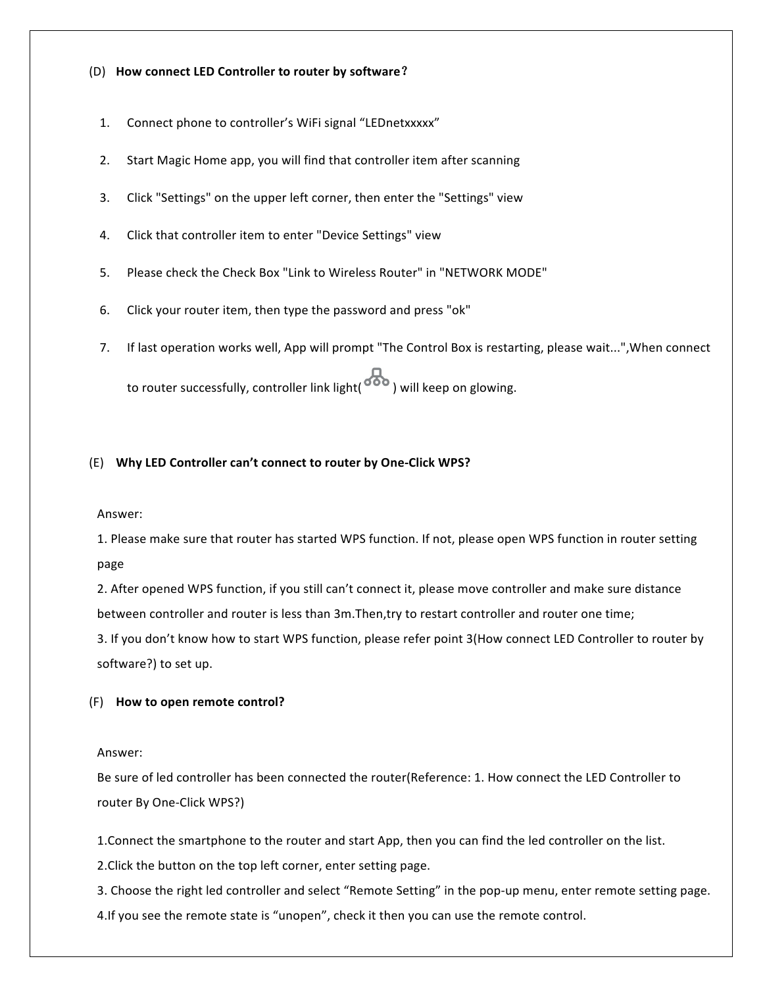#### (D) **How connect LED Controller to router by software**?

- 1. Connect phone to controller's WiFi signal "LEDnetxxxxx"
- 2. Start Magic Home app, you will find that controller item after scanning
- 3. Click "Settings" on the upper left corner, then enter the "Settings" view
- 4. Click that controller item to enter "Device Settings" view
- 5. Please check the Check Box "Link to Wireless Router" in "NETWORK MODE"
- 6. Click your router item, then type the password and press "ok"
- 7. If last operation works well, App will prompt "The Control Box is restarting, please wait...", When connect to router successfully, controller link light(  $\overline{\bullet\bullet}$  ) will keep on glowing.

#### (E) **Why LED Controller can't connect to router by One-Click WPS?**

#### Answer:

1. Please make sure that router has started WPS function. If not, please open WPS function in router setting page

2. After opened WPS function, if you still can't connect it, please move controller and make sure distance between controller and router is less than 3m. Then, try to restart controller and router one time;

3. If you don't know how to start WPS function, please refer point 3(How connect LED Controller to router by software?) to set up.

#### (F) **How to open remote control?**

#### Answer:

Be sure of led controller has been connected the router(Reference: 1. How connect the LED Controller to router By One-Click WPS?)

1. Connect the smartphone to the router and start App, then you can find the led controller on the list.

2. Click the button on the top left corner, enter setting page.

3. Choose the right led controller and select "Remote Setting" in the pop-up menu, enter remote setting page. 4.If you see the remote state is "unopen", check it then you can use the remote control.